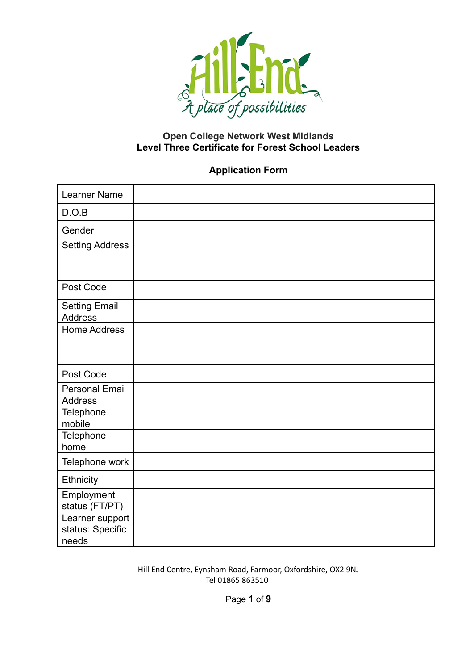

## **Open College Network West Midlands Level Three Certificate for Forest School Leaders**

## **Application Form**

| <b>Learner Name</b>                          |  |
|----------------------------------------------|--|
| D.O.B                                        |  |
| Gender                                       |  |
| <b>Setting Address</b>                       |  |
|                                              |  |
| Post Code                                    |  |
| <b>Setting Email</b><br><b>Address</b>       |  |
| <b>Home Address</b>                          |  |
|                                              |  |
| Post Code                                    |  |
| <b>Personal Email</b><br><b>Address</b>      |  |
| Telephone<br>mobile                          |  |
| Telephone<br>home                            |  |
| Telephone work                               |  |
| Ethnicity                                    |  |
| Employment<br>status (FT/PT)                 |  |
| Learner support<br>status: Specific<br>needs |  |

Hill End Centre, Eynsham Road, Farmoor, Oxfordshire, OX2 9NJ Tel 01865 863510

Page **1** of **9**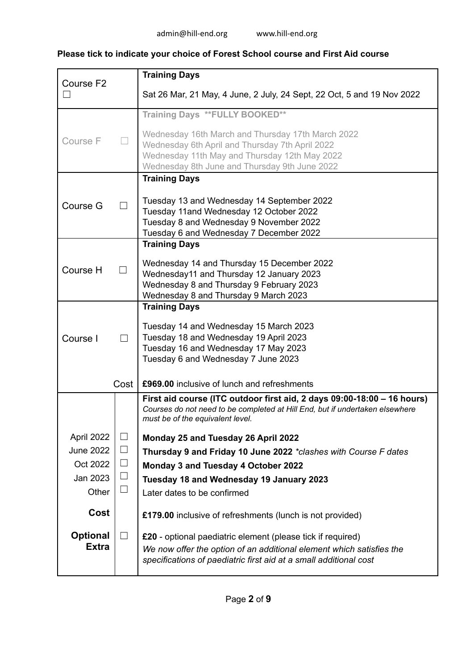# **Please tick to indicate your choice of Forest School course and First Aid course**

| Course F2       |        | <b>Training Days</b>                                                                                                                      |
|-----------------|--------|-------------------------------------------------------------------------------------------------------------------------------------------|
|                 |        | Sat 26 Mar, 21 May, 4 June, 2 July, 24 Sept, 22 Oct, 5 and 19 Nov 2022                                                                    |
|                 |        | Training Days ** FULLY BOOKED**                                                                                                           |
| Course F        |        | Wednesday 16th March and Thursday 17th March 2022<br>Wednesday 6th April and Thursday 7th April 2022                                      |
|                 |        | Wednesday 11th May and Thursday 12th May 2022<br>Wednesday 8th June and Thursday 9th June 2022                                            |
|                 |        | <b>Training Days</b>                                                                                                                      |
|                 |        | Tuesday 13 and Wednesday 14 September 2022                                                                                                |
| Course G        |        | Tuesday 11 and Wednesday 12 October 2022                                                                                                  |
|                 |        | Tuesday 8 and Wednesday 9 November 2022<br>Tuesday 6 and Wednesday 7 December 2022                                                        |
|                 |        | <b>Training Days</b>                                                                                                                      |
|                 |        | Wednesday 14 and Thursday 15 December 2022                                                                                                |
| Course H        |        | Wednesday11 and Thursday 12 January 2023                                                                                                  |
|                 |        | Wednesday 8 and Thursday 9 February 2023                                                                                                  |
|                 |        | Wednesday 8 and Thursday 9 March 2023<br><b>Training Days</b>                                                                             |
|                 |        |                                                                                                                                           |
| Course I        |        | Tuesday 14 and Wednesday 15 March 2023<br>Tuesday 18 and Wednesday 19 April 2023                                                          |
|                 |        | Tuesday 16 and Wednesday 17 May 2023                                                                                                      |
|                 |        | Tuesday 6 and Wednesday 7 June 2023                                                                                                       |
|                 | Cost   | £969.00 inclusive of lunch and refreshments                                                                                               |
|                 |        | First aid course (ITC outdoor first aid, 2 days 09:00-18:00 – 16 hours)                                                                   |
|                 |        | Courses do not need to be completed at Hill End, but if undertaken elsewhere<br>must be of the equivalent level.                          |
| April 2022      | $\Box$ | Monday 25 and Tuesday 26 April 2022                                                                                                       |
| June 2022       | $\Box$ | Thursday 9 and Friday 10 June 2022 *clashes with Course F dates                                                                           |
| Oct 2022        | $\Box$ | Monday 3 and Tuesday 4 October 2022                                                                                                       |
| Jan 2023        | $\Box$ | Tuesday 18 and Wednesday 19 January 2023                                                                                                  |
| Other           | $\Box$ | Later dates to be confirmed                                                                                                               |
| Cost            |        | £179.00 inclusive of refreshments (lunch is not provided)                                                                                 |
| <b>Optional</b> |        | £20 - optional paediatric element (please tick if required)                                                                               |
| <b>Extra</b>    |        | We now offer the option of an additional element which satisfies the<br>specifications of paediatric first aid at a small additional cost |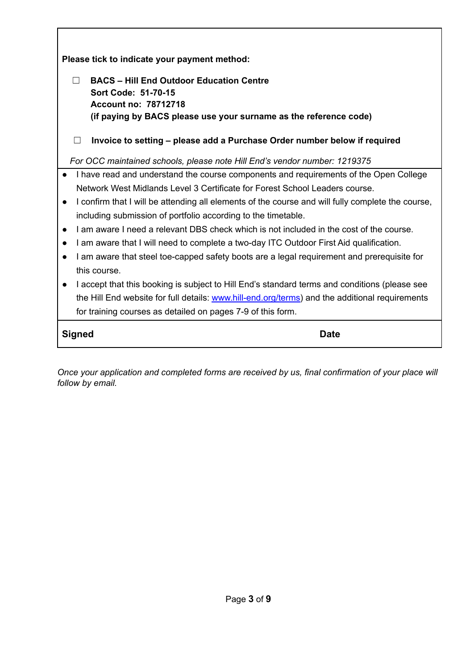**Please tick to indicate your payment method:**

| <b>BACS</b> – Hill End Outdoor Education Centre<br>Sort Code: 51-70-15<br>Account no: 78712718<br>(if paying by BACS please use your surname as the reference code) |
|---------------------------------------------------------------------------------------------------------------------------------------------------------------------|
| Invoice to setting – please add a Purchase Order number below if required                                                                                           |

*For OCC maintained schools, please note Hill End's vendor number: 1219375*

- I have read and understand the course components and requirements of the Open College Network West Midlands Level 3 Certificate for Forest School Leaders course.
- I confirm that I will be attending all elements of the course and will fully complete the course, including submission of portfolio according to the timetable.
- **●** I am aware I need a relevant DBS check which is not included in the cost of the course.
- **●** I am aware that I will need to complete a two-day ITC Outdoor First Aid qualification.
- I am aware that steel toe-capped safety boots are a legal requirement and prerequisite for this course.
- I accept that this booking is subject to Hill End's standard terms and conditions (please see the Hill End website for full details: [www.hill-end.org/terms\)](http://www.hill-end.org/terms) and the additional requirements for training courses as detailed on pages 7-9 of this form.

**Signed Date** 

*Once your application and completed forms are received by us, final confirmation of your place will follow by email.*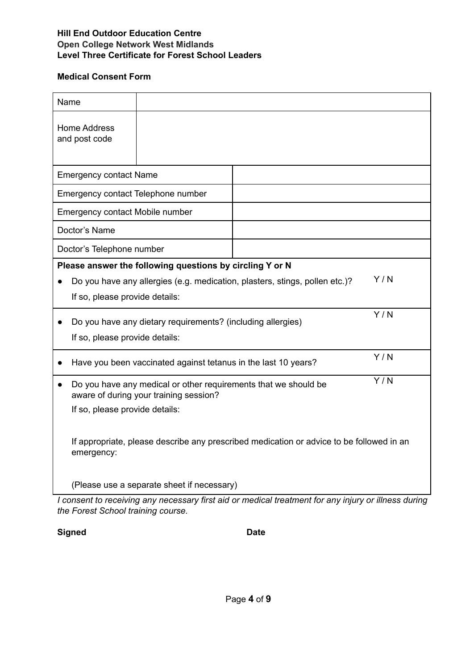### **Medical Consent Form**

| <b>Home Address</b><br>and post code<br><b>Emergency contact Name</b><br>Emergency contact Telephone number<br><b>Emergency contact Mobile number</b><br>Doctor's Name<br>Doctor's Telephone number<br>Please answer the following questions by circling Y or N<br>Y/N<br>Do you have any allergies (e.g. medication, plasters, stings, pollen etc.)?<br>If so, please provide details: |
|-----------------------------------------------------------------------------------------------------------------------------------------------------------------------------------------------------------------------------------------------------------------------------------------------------------------------------------------------------------------------------------------|
|                                                                                                                                                                                                                                                                                                                                                                                         |
|                                                                                                                                                                                                                                                                                                                                                                                         |
|                                                                                                                                                                                                                                                                                                                                                                                         |
|                                                                                                                                                                                                                                                                                                                                                                                         |
|                                                                                                                                                                                                                                                                                                                                                                                         |
|                                                                                                                                                                                                                                                                                                                                                                                         |
|                                                                                                                                                                                                                                                                                                                                                                                         |
|                                                                                                                                                                                                                                                                                                                                                                                         |
|                                                                                                                                                                                                                                                                                                                                                                                         |
| Y/N<br>Do you have any dietary requirements? (including allergies)<br>If so, please provide details:                                                                                                                                                                                                                                                                                    |
| Y/N<br>Have you been vaccinated against tetanus in the last 10 years?                                                                                                                                                                                                                                                                                                                   |
| Y/N<br>Do you have any medical or other requirements that we should be<br>aware of during your training session?<br>If so, please provide details:                                                                                                                                                                                                                                      |
| If appropriate, please describe any prescribed medication or advice to be followed in an<br>emergency:<br>(Please use a separate sheet if necessary)                                                                                                                                                                                                                                    |

*I consent to receiving any necessary first aid or medical treatment for any injury or illness during the Forest School training course.*

## **Signed Date**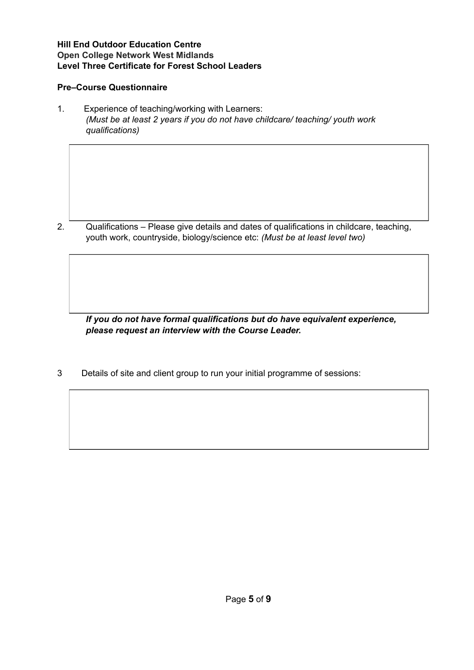### **Pre–Course Questionnaire**

1. Experience of teaching/working with Learners: *(Must be at least 2 years if you do not have childcare/ teaching/ youth work qualifications)*

2. Qualifications – Please give details and dates of qualifications in childcare, teaching, youth work, countryside, biology/science etc: *(Must be at least level two)*

*If you do not have formal qualifications but do have equivalent experience, please request an interview with the Course Leader.*

3 Details of site and client group to run your initial programme of sessions: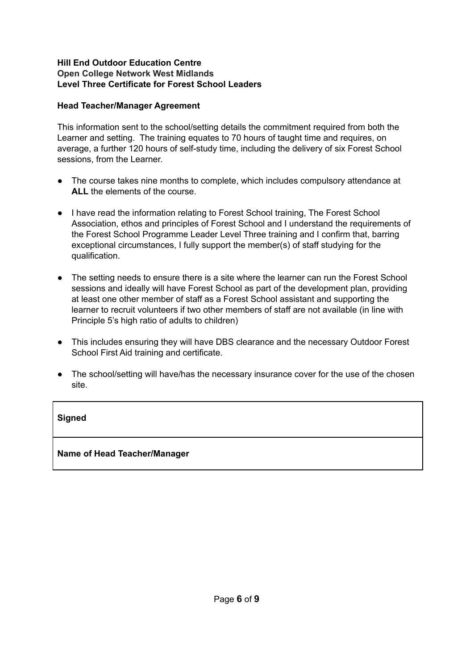### **Head Teacher/Manager Agreement**

This information sent to the school/setting details the commitment required from both the Learner and setting. The training equates to 70 hours of taught time and requires, on average, a further 120 hours of self-study time, including the delivery of six Forest School sessions, from the Learner.

- The course takes nine months to complete, which includes compulsory attendance at **ALL** the elements of the course.
- I have read the information relating to Forest School training, The Forest School Association, ethos and principles of Forest School and I understand the requirements of the Forest School Programme Leader Level Three training and I confirm that, barring exceptional circumstances, I fully support the member(s) of staff studying for the qualification.
- The setting needs to ensure there is a site where the learner can run the Forest School sessions and ideally will have Forest School as part of the development plan, providing at least one other member of staff as a Forest School assistant and supporting the learner to recruit volunteers if two other members of staff are not available (in line with Principle 5's high ratio of adults to children)
- This includes ensuring they will have DBS clearance and the necessary Outdoor Forest School First Aid training and certificate.
- The school/setting will have/has the necessary insurance cover for the use of the chosen site.

### **Signed**

### **Name of Head Teacher/Manager**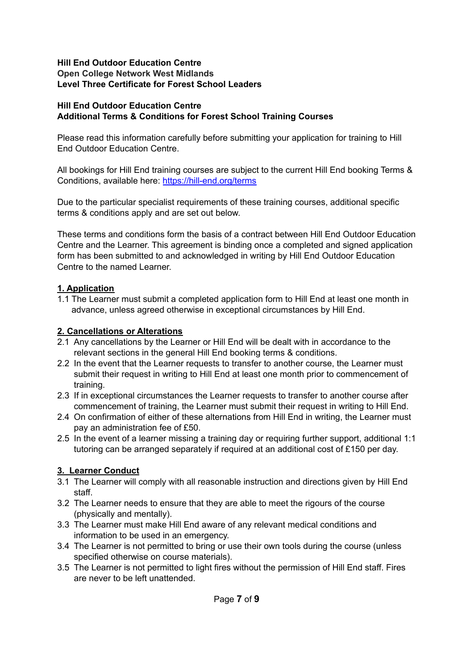### **Hill End Outdoor Education Centre Additional Terms & Conditions for Forest School Training Courses**

Please read this information carefully before submitting your application for training to Hill End Outdoor Education Centre.

All bookings for Hill End training courses are subject to the current Hill End booking Terms & Conditions, available here: [https://hill-end.org/terms](https://hill-end.org/terms/)

Due to the particular specialist requirements of these training courses, additional specific terms & conditions apply and are set out below.

These terms and conditions form the basis of a contract between Hill End Outdoor Education Centre and the Learner. This agreement is binding once a completed and signed application form has been submitted to and acknowledged in writing by Hill End Outdoor Education Centre to the named Learner.

## **1. Application**

1.1 The Learner must submit a completed application form to Hill End at least one month in advance, unless agreed otherwise in exceptional circumstances by Hill End.

## **2. Cancellations or Alterations**

- 2.1 Any cancellations by the Learner or Hill End will be dealt with in accordance to the relevant sections in the general Hill End booking terms & conditions.
- 2.2 In the event that the Learner requests to transfer to another course, the Learner must submit their request in writing to Hill End at least one month prior to commencement of training.
- 2.3 If in exceptional circumstances the Learner requests to transfer to another course after commencement of training, the Learner must submit their request in writing to Hill End.
- 2.4 On confirmation of either of these alternations from Hill End in writing, the Learner must pay an administration fee of £50.
- 2.5 In the event of a learner missing a training day or requiring further support, additional 1:1 tutoring can be arranged separately if required at an additional cost of £150 per day.

## **3. Learner Conduct**

- 3.1 The Learner will comply with all reasonable instruction and directions given by Hill End staff.
- 3.2 The Learner needs to ensure that they are able to meet the rigours of the course (physically and mentally).
- 3.3 The Learner must make Hill End aware of any relevant medical conditions and information to be used in an emergency.
- 3.4 The Learner is not permitted to bring or use their own tools during the course (unless specified otherwise on course materials).
- 3.5 The Learner is not permitted to light fires without the permission of Hill End staff. Fires are never to be left unattended.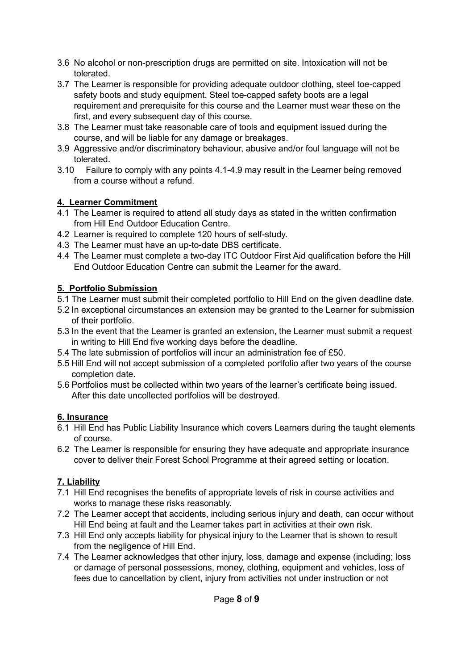- 3.6 No alcohol or non-prescription drugs are permitted on site. Intoxication will not be tolerated.
- 3.7 The Learner is responsible for providing adequate outdoor clothing, steel toe-capped safety boots and study equipment. Steel toe-capped safety boots are a legal requirement and prerequisite for this course and the Learner must wear these on the first, and every subsequent day of this course.
- 3.8 The Learner must take reasonable care of tools and equipment issued during the course, and will be liable for any damage or breakages.
- 3.9 Aggressive and/or discriminatory behaviour, abusive and/or foul language will not be tolerated.
- 3.10 Failure to comply with any points 4.1-4.9 may result in the Learner being removed from a course without a refund.

## **4. Learner Commitment**

- 4.1 The Learner is required to attend all study days as stated in the written confirmation from Hill End Outdoor Education Centre.
- 4.2 Learner is required to complete 120 hours of self-study.
- 4.3 The Learner must have an up-to-date DBS certificate.
- 4.4 The Learner must complete a two-day ITC Outdoor First Aid qualification before the Hill End Outdoor Education Centre can submit the Learner for the award.

# **5. Portfolio Submission**

- 5.1 The Learner must submit their completed portfolio to Hill End on the given deadline date.
- 5.2 In exceptional circumstances an extension may be granted to the Learner for submission of their portfolio.
- 5.3 In the event that the Learner is granted an extension, the Learner must submit a request in writing to Hill End five working days before the deadline.
- 5.4 The late submission of portfolios will incur an administration fee of £50.
- 5.5 Hill End will not accept submission of a completed portfolio after two years of the course completion date.
- 5.6 Portfolios must be collected within two years of the learner's certificate being issued. After this date uncollected portfolios will be destroyed.

# **6. Insurance**

- 6.1 Hill End has Public Liability Insurance which covers Learners during the taught elements of course.
- 6.2 The Learner is responsible for ensuring they have adequate and appropriate insurance cover to deliver their Forest School Programme at their agreed setting or location.

# **7. Liability**

- 7.1 Hill End recognises the benefits of appropriate levels of risk in course activities and works to manage these risks reasonably.
- 7.2 The Learner accept that accidents, including serious injury and death, can occur without Hill End being at fault and the Learner takes part in activities at their own risk.
- 7.3 Hill End only accepts liability for physical injury to the Learner that is shown to result from the negligence of Hill End.
- 7.4 The Learner acknowledges that other injury, loss, damage and expense (including; loss or damage of personal possessions, money, clothing, equipment and vehicles, loss of fees due to cancellation by client, injury from activities not under instruction or not